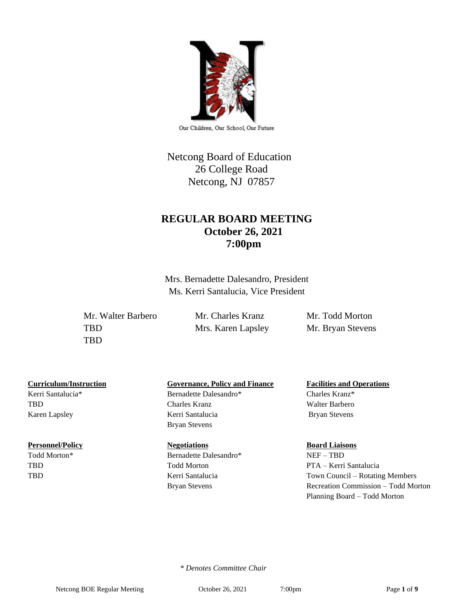

Our Children, Our School, Our Future

# Netcong Board of Education 26 College Road Netcong, NJ 07857

# **REGULAR BOARD MEETING October 26, 2021 7:00pm**

Mrs. Bernadette Dalesandro, President Ms. Kerri Santalucia, Vice President

Mr. Walter Barbero Mr. Charles Kranz Mr. Todd Morton TBD Mrs. Karen Lapsley Mr. Bryan Stevens TBD

Kerri Santalucia\* Bernadette Dalesandro\* Charles Kranz\*

#### **Personnel/Policy Regotiations Board Liaisons Board Liaisons**

## **Curriculum/Instruction Governance, Policy and Finance Facilities and Operations**

TBD Charles Kranz Walter Barbero Karen Lapsley **Kerri Santalucia** Bryan Stevens Bryan Stevens

Todd Morton\* Bernadette Dalesandro\* NEF – TBD

TBD Todd Morton PTA – Kerri Santalucia TBD Kerri Santalucia Town Council – Rotating Members Bryan Stevens Recreation Commission – Todd Morton Planning Board – Todd Morton

 *\* Denotes Committee Chair*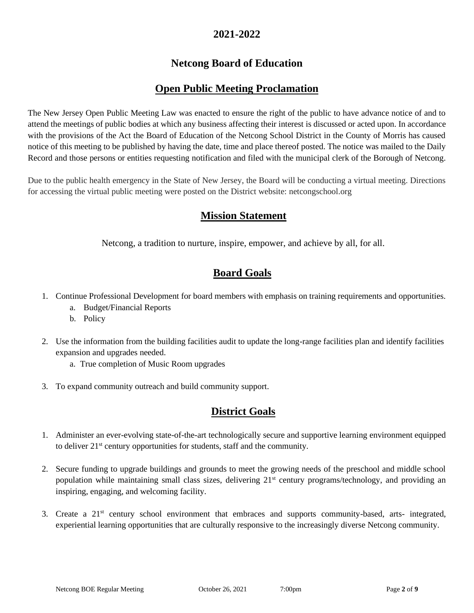## **2021-2022**

# **Netcong Board of Education**

## **Open Public Meeting Proclamation**

The New Jersey Open Public Meeting Law was enacted to ensure the right of the public to have advance notice of and to attend the meetings of public bodies at which any business affecting their interest is discussed or acted upon. In accordance with the provisions of the Act the Board of Education of the Netcong School District in the County of Morris has caused notice of this meeting to be published by having the date, time and place thereof posted. The notice was mailed to the Daily Record and those persons or entities requesting notification and filed with the municipal clerk of the Borough of Netcong.

Due to the public health emergency in the State of New Jersey, the Board will be conducting a virtual meeting. Directions for accessing the virtual public meeting were posted on the District website: netcongschool.org

## **Mission Statement**

Netcong, a tradition to nurture, inspire, empower, and achieve by all, for all.

## **Board Goals**

- 1. Continue Professional Development for board members with emphasis on training requirements and opportunities.
	- a. Budget/Financial Reports
	- b. Policy
- 2. Use the information from the building facilities audit to update the long-range facilities plan and identify facilities expansion and upgrades needed.
	- a. True completion of Music Room upgrades
- 3. To expand community outreach and build community support.

# **District Goals**

- 1. Administer an ever-evolving state-of-the-art technologically secure and supportive learning environment equipped to deliver 21st century opportunities for students, staff and the community.
- 2. Secure funding to upgrade buildings and grounds to meet the growing needs of the preschool and middle school population while maintaining small class sizes, delivering 21<sup>st</sup> century programs/technology, and providing an inspiring, engaging, and welcoming facility.
- 3. Create a 21st century school environment that embraces and supports community-based, arts- integrated, experiential learning opportunities that are culturally responsive to the increasingly diverse Netcong community.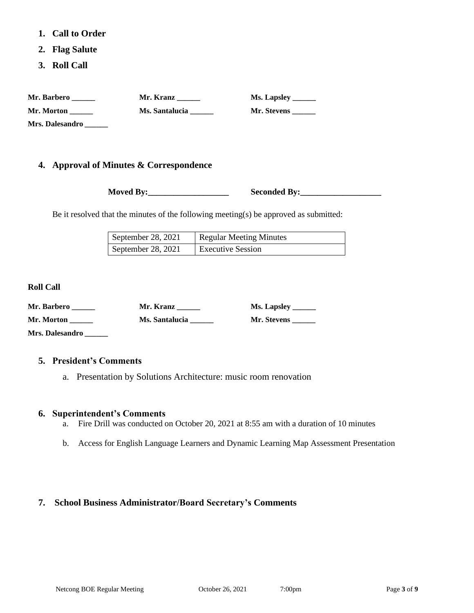- **1. Call to Order**
- **2. Flag Salute**
- **3. Roll Call**

| Mr. Barbero     | Mr. Kranz      | <b>Ms. Lapsley _______</b> |
|-----------------|----------------|----------------------------|
| Mr. Morton      | Ms. Santalucia | Mr. Stevens                |
| Mrs. Dalesandro |                |                            |

### **4. Approval of Minutes & Correspondence**

**Moved By:** Seconded By:

Be it resolved that the minutes of the following meeting(s) be approved as submitted:

| September 28, 2021 | Regular Meeting Minutes  |
|--------------------|--------------------------|
| September 28, 2021 | <b>Executive Session</b> |

**Roll Call**

| Mr. Barbero     | Mr. Kranz      | <b>Ms. Lapsley</b> |
|-----------------|----------------|--------------------|
| Mr. Morton      | Ms. Santalucia | Mr. Stevens        |
| Mrs. Dalesandro |                |                    |

#### **5. President's Comments**

a. Presentation by Solutions Architecture: music room renovation

#### **6. Superintendent's Comments**

- a. Fire Drill was conducted on October 20, 2021 at 8:55 am with a duration of 10 minutes
- b. Access for English Language Learners and Dynamic Learning Map Assessment Presentation

## **7. School Business Administrator/Board Secretary's Comments**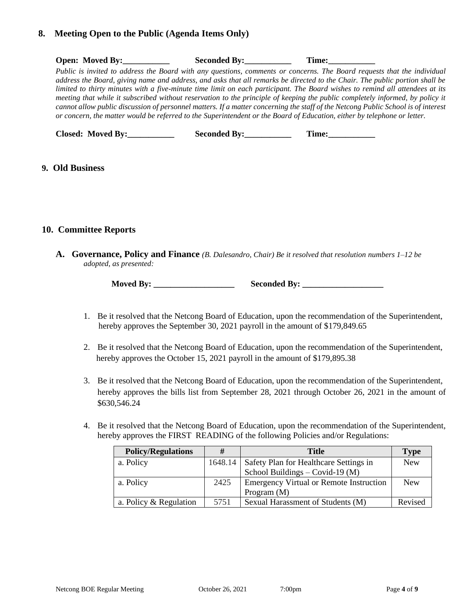## **8. Meeting Open to the Public (Agenda Items Only)**

| <b>Open:</b> Moved By:   | Seconded By:                                                                                                                                                                                                                                                                                                                                                                                       | Time: |  |
|--------------------------|----------------------------------------------------------------------------------------------------------------------------------------------------------------------------------------------------------------------------------------------------------------------------------------------------------------------------------------------------------------------------------------------------|-------|--|
|                          | Public is invited to address the Board with any questions, comments or concerns. The Board requests that the individual<br>address the Board, giving name and address, and asks that all remarks be directed to the Chair. The public portion shall be                                                                                                                                             |       |  |
|                          | limited to thirty minutes with a five-minute time limit on each participant. The Board wishes to remind all attendees at its<br>meeting that while it subscribed without reservation to the principle of keeping the public completely informed, by policy it<br>cannot allow public discussion of personnel matters. If a matter concerning the staff of the Netcong Public School is of interest |       |  |
|                          | or concern, the matter would be referred to the Superintendent or the Board of Education, either by telephone or letter.                                                                                                                                                                                                                                                                           |       |  |
| <b>Closed: Moved By:</b> | <b>Seconded By:</b>                                                                                                                                                                                                                                                                                                                                                                                | Time: |  |

### **9. Old Business**

### **10. Committee Reports**

**A. Governance, Policy and Finance** *(B. Dalesandro, Chair) Be it resolved that resolution numbers 1–12 be adopted, as presented:*

| <b>Moved By:</b> | <b>Seconded By:</b> |
|------------------|---------------------|
|------------------|---------------------|

- 1. Be it resolved that the Netcong Board of Education, upon the recommendation of the Superintendent, hereby approves the September 30, 2021 payroll in the amount of \$179,849.65
- 2. Be it resolved that the Netcong Board of Education, upon the recommendation of the Superintendent, hereby approves the October 15, 2021 payroll in the amount of \$179,895.38
- 3. Be it resolved that the Netcong Board of Education, upon the recommendation of the Superintendent, hereby approves the bills list from September 28, 2021 through October 26, 2021 in the amount of \$630,546.24
- 4. Be it resolved that the Netcong Board of Education, upon the recommendation of the Superintendent, hereby approves the FIRST READING of the following Policies and/or Regulations:

| <b>Policy/Regulations</b> | #       | <b>Title</b>                                   | <b>Type</b> |
|---------------------------|---------|------------------------------------------------|-------------|
| a. Policy                 | 1648.14 | Safety Plan for Healthcare Settings in         | <b>New</b>  |
|                           |         | School Buildings – Covid-19 $(M)$              |             |
| a. Policy                 | 2425    | <b>Emergency Virtual or Remote Instruction</b> | <b>New</b>  |
|                           |         | Program $(M)$                                  |             |
| a. Policy & Regulation    | 5751    | Sexual Harassment of Students (M)              | Revised     |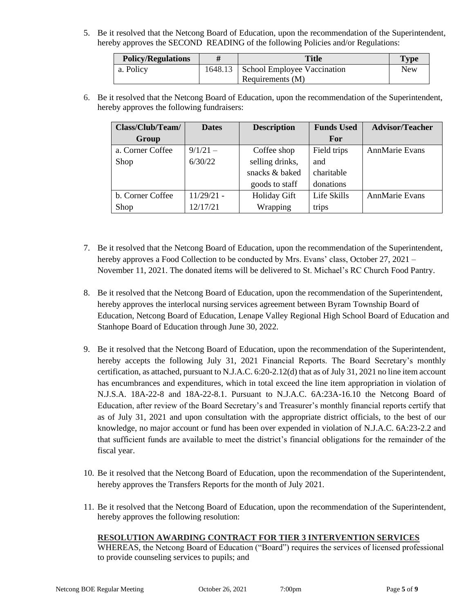5. Be it resolved that the Netcong Board of Education, upon the recommendation of the Superintendent, hereby approves the SECOND READING of the following Policies and/or Regulations:

| <b>Policy/Regulations</b> | Title                                 | <b>Type</b> |
|---------------------------|---------------------------------------|-------------|
| a. Policy                 | 1648.13   School Employee Vaccination | New         |
|                           | Requirements (M)                      |             |

6. Be it resolved that the Netcong Board of Education, upon the recommendation of the Superintendent, hereby approves the following fundraisers:

| Class/Club/Team/ | <b>Dates</b> | <b>Description</b>  | <b>Funds Used</b> | <b>Advisor/Teacher</b> |
|------------------|--------------|---------------------|-------------------|------------------------|
| Group            |              |                     | For               |                        |
| a. Corner Coffee | $9/1/21 -$   | Coffee shop         | Field trips       | <b>AnnMarie Evans</b>  |
| Shop             | 6/30/22      | selling drinks,     | and               |                        |
|                  |              | snacks & baked      | charitable        |                        |
|                  |              | goods to staff      | donations         |                        |
| b. Corner Coffee | $11/29/21$ - | <b>Holiday Gift</b> | Life Skills       | <b>AnnMarie Evans</b>  |
| Shop             | 12/17/21     | Wrapping            | trips             |                        |

- 7. Be it resolved that the Netcong Board of Education, upon the recommendation of the Superintendent, hereby approves a Food Collection to be conducted by Mrs. Evans' class, October 27, 2021 -November 11, 2021. The donated ítems will be delivered to St. Michael's RC Church Food Pantry.
- 8. Be it resolved that the Netcong Board of Education, upon the recommendation of the Superintendent, hereby approves the interlocal nursing services agreement between Byram Township Board of Education, Netcong Board of Education, Lenape Valley Regional High School Board of Education and Stanhope Board of Education through June 30, 2022.
- 9. Be it resolved that the Netcong Board of Education, upon the recommendation of the Superintendent, hereby accepts the following July 31, 2021 Financial Reports. The Board Secretary's monthly certification, as attached, pursuant to N.J.A.C. 6:20-2.12(d) that as of July 31, 2021 no line item account has encumbrances and expenditures, which in total exceed the line item appropriation in violation of N.J.S.A. 18A-22-8 and 18A-22-8.1. Pursuant to N.J.A.C. 6A:23A-16.10 the Netcong Board of Education, after review of the Board Secretary's and Treasurer's monthly financial reports certify that as of July 31, 2021 and upon consultation with the appropriate district officials, to the best of our knowledge, no major account or fund has been over expended in violation of N.J.A.C. 6A:23-2.2 and that sufficient funds are available to meet the district's financial obligations for the remainder of the fiscal year.
- 10. Be it resolved that the Netcong Board of Education, upon the recommendation of the Superintendent, hereby approves the Transfers Reports for the month of July 2021.
- 11. Be it resolved that the Netcong Board of Education, upon the recommendation of the Superintendent, hereby approves the following resolution:

## **RESOLUTION AWARDING CONTRACT FOR TIER 3 INTERVENTION SERVICES**

WHEREAS, the Netcong Board of Education ("Board") requires the services of licensed professional to provide counseling services to pupils; and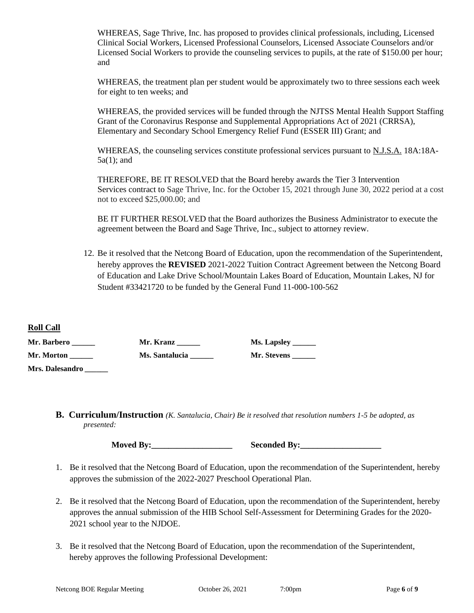WHEREAS, Sage Thrive, Inc. has proposed to provides clinical professionals, including, Licensed Clinical Social Workers, Licensed Professional Counselors, Licensed Associate Counselors and/or Licensed Social Workers to provide the counseling services to pupils, at the rate of \$150.00 per hour; and

WHEREAS, the treatment plan per student would be approximately two to three sessions each week for eight to ten weeks; and

WHEREAS, the provided services will be funded through the NJTSS Mental Health Support Staffing Grant of the Coronavirus Response and Supplemental Appropriations Act of 2021 (CRRSA), Elementary and Secondary School Emergency Relief Fund (ESSER III) Grant; and

WHEREAS, the counseling services constitute professional services pursuant to N.J.S.A. 18A:18A-5a(1); and

THEREFORE, BE IT RESOLVED that the Board hereby awards the Tier 3 Intervention Services contract to Sage Thrive, Inc. for the October 15, 2021 through June 30, 2022 period at a cost not to exceed \$25,000.00; and

BE IT FURTHER RESOLVED that the Board authorizes the Business Administrator to execute the agreement between the Board and Sage Thrive, Inc., subject to attorney review.

12. Be it resolved that the Netcong Board of Education, upon the recommendation of the Superintendent, hereby approves the **REVISED** 2021-2022 Tuition Contract Agreement between the Netcong Board of Education and Lake Drive School/Mountain Lakes Board of Education, Mountain Lakes, NJ for Student #33421720 to be funded by the General Fund 11-000-100-562

#### **Roll Call**

| Mr. Barbero     | Mr. Kranz      | Ms. Lapsley _______ |
|-----------------|----------------|---------------------|
| Mr. Morton      | Ms. Santalucia | Mr. Stevens         |
| Mrs. Dalesandro |                |                     |

**B. Curriculum/Instruction** *(K. Santalucia, Chair) Be it resolved that resolution numbers 1-5 be adopted, as presented:*

**Moved By:\_\_\_\_\_\_\_\_\_\_\_\_\_\_\_\_\_\_\_ Seconded By:\_\_\_\_\_\_\_\_\_\_\_\_\_\_\_\_\_\_\_**

- 1. Be it resolved that the Netcong Board of Education, upon the recommendation of the Superintendent, hereby approves the submission of the 2022-2027 Preschool Operational Plan.
- 2. Be it resolved that the Netcong Board of Education, upon the recommendation of the Superintendent, hereby approves the annual submission of the HIB School Self-Assessment for Determining Grades for the 2020- 2021 school year to the NJDOE.
- 3. Be it resolved that the Netcong Board of Education, upon the recommendation of the Superintendent, hereby approves the following Professional Development: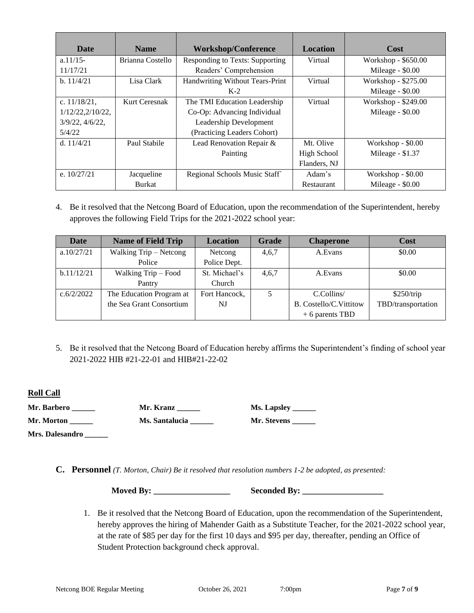| Date             | <b>Name</b>      | <b>Workshop/Conference</b>      | <b>Location</b> | <b>Cost</b>         |
|------------------|------------------|---------------------------------|-----------------|---------------------|
| $a.11/15-$       | Brianna Costello | Responding to Texts: Supporting | Virtual         | Workshop - \$650.00 |
| 11/17/21         |                  | Readers' Comprehension          |                 | Mileage - \$0.00    |
| b. 11/4/21       | Lisa Clark       | Handwriting Without Tears-Print | Virtual         | Workshop - \$275.00 |
|                  |                  | $K-2$                           |                 | Mileage - \$0.00    |
| c. $11/18/21$ ,  | Kurt Ceresnak    | The TMI Education Leadership    | Virtual         | Workshop - \$249.00 |
| 1/12/22,2/10/22, |                  | Co-Op: Advancing Individual     |                 | Mileage - \$0.00    |
| 3/9/22, 4/6/22,  |                  | Leadership Development          |                 |                     |
| 5/4/22           |                  | (Practicing Leaders Cohort)     |                 |                     |
| d. $11/4/21$     | Paul Stabile     | Lead Renovation Repair &        | Mt. Olive       | Workshop - \$0.00   |
|                  |                  | Painting                        | High School     | Mileage - \$1.37    |
|                  |                  |                                 | Flanders, NJ    |                     |
| e. $10/27/21$    | Jacqueline       | Regional Schools Music Staff    | Adam's          | Workshop - \$0.00   |
|                  | Burkat           |                                 | Restaurant      | Mileage - \$0.00    |

4. Be it resolved that the Netcong Board of Education, upon the recommendation of the Superintendent, hereby approves the following Field Trips for the 2021-2022 school year:

| <b>Date</b> | <b>Name of Field Trip</b> | <b>Location</b> | <b>Grade</b> | <b>Chaperone</b>        | Cost               |
|-------------|---------------------------|-----------------|--------------|-------------------------|--------------------|
| a.10/27/21  | Walking Trip - Netcong    | Netcong         | 4,6,7        | A.Evans                 | \$0.00             |
|             | Police                    | Police Dept.    |              |                         |                    |
| b.11/12/21  | Walking Trip – Food       | St. Michael's   | 4,6,7        | A.Evans                 | \$0.00             |
|             | Pantry                    | Church          |              |                         |                    |
| c.6/2/2022  | The Education Program at  | Fort Hancock,   |              | C.Collins/              | \$250/trip         |
|             | the Sea Grant Consortium  | NJ              |              | B. Costello/C. Vittitow | TBD/transportation |
|             |                           |                 |              | $+6$ parents TBD        |                    |

5. Be it resolved that the Netcong Board of Education hereby affirms the Superintendent's finding of school year 2021-2022 HIB #21-22-01 and HIB#21-22-02

#### **Roll Call**

**Mr. Barbero \_\_\_\_\_\_ Mr. Kranz \_\_\_\_\_\_ Ms. Lapsley \_\_\_\_\_\_ Mr. Morton \_\_\_\_\_\_ Ms. Santalucia \_\_\_\_\_\_ Mr. Stevens \_\_\_\_\_\_ Mrs. Dalesandro** *\_\_\_\_\_\_*

**C. Personnel** *(T. Morton, Chair) Be it resolved that resolution numbers 1-2 be adopted, as presented:*

**Moved By: \_\_\_\_\_\_\_\_\_\_\_\_\_\_\_\_\_\_ Seconded By: \_\_\_\_\_\_\_\_\_\_\_\_\_\_\_\_\_\_\_**

1. Be it resolved that the Netcong Board of Education, upon the recommendation of the Superintendent, hereby approves the hiring of Mahender Gaith as a Substitute Teacher, for the 2021-2022 school year, at the rate of \$85 per day for the first 10 days and \$95 per day, thereafter, pending an Office of Student Protection background check approval.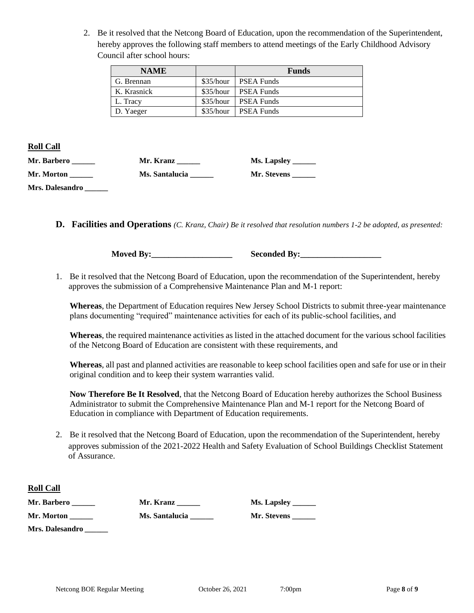2. Be it resolved that the Netcong Board of Education, upon the recommendation of the Superintendent, hereby approves the following staff members to attend meetings of the Early Childhood Advisory Council after school hours:

| <b>NAME</b> |           | <b>Funds</b>      |
|-------------|-----------|-------------------|
| G. Brennan  | \$35/hour | <b>PSEA Funds</b> |
| K. Krasnick | \$35/hour | <b>PSEA Funds</b> |
| L. Tracy    | \$35/hour | <b>PSEA Funds</b> |
| D. Yaeger   | \$35/hour | <b>PSEA Funds</b> |

**Roll Call**

| Mr. Barbero     | Mr. Kranz      | Ms. Lapsley ________ |
|-----------------|----------------|----------------------|
| Mr. Morton      | Ms. Santalucia | Mr. Stevens          |
| Mrs. Dalesandro |                |                      |

**D. Facilities and Operations** *(C. Kranz, Chair) Be it resolved that resolution numbers 1-2 be adopted, as presented:*

**Moved By:\_\_\_\_\_\_\_\_\_\_\_\_\_\_\_\_\_\_\_ Seconded By:\_\_\_\_\_\_\_\_\_\_\_\_\_\_\_\_\_\_\_**

1. Be it resolved that the Netcong Board of Education, upon the recommendation of the Superintendent, hereby approves the submission of a Comprehensive Maintenance Plan and M-1 report:

**Whereas**, the Department of Education requires New Jersey School Districts to submit three-year maintenance plans documenting "required" maintenance activities for each of its public-school facilities, and

**Whereas**, the required maintenance activities as listed in the attached document for the various school facilities of the Netcong Board of Education are consistent with these requirements, and

**Whereas**, all past and planned activities are reasonable to keep school facilities open and safe for use or in their original condition and to keep their system warranties valid.

**Now Therefore Be It Resolved**, that the Netcong Board of Education hereby authorizes the School Business Administrator to submit the Comprehensive Maintenance Plan and M-1 report for the Netcong Board of Education in compliance with Department of Education requirements.

2. Be it resolved that the Netcong Board of Education, upon the recommendation of the Superintendent, hereby approves submission of the 2021-2022 Health and Safety Evaluation of School Buildings Checklist Statement of Assurance.

**Roll Call**

**Mr. Barbero \_\_\_\_\_\_ Mr. Kranz \_\_\_\_\_\_ Ms. Lapsley \_\_\_\_\_\_ Mr. Morton Ms. Santalucia** 

**Mrs. Dalesandro** *\_\_\_\_\_\_*

| Mr. Stevens |  |
|-------------|--|